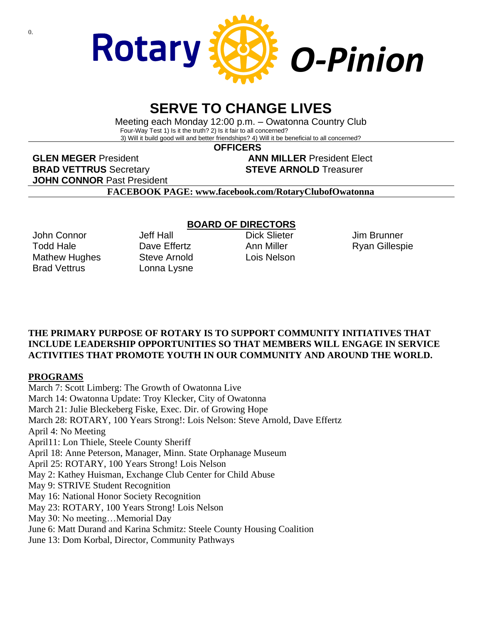

# **SERVE TO CHANGE LIVES**

Meeting each Monday 12:00 p.m. – Owatonna Country Club Four-Way Test 1) Is it the truth? 2) Is it fair to all concerned? 3) Will it build good will and better friendships? 4) Will it be beneficial to all concerned?

 **OFFICERS**

**GLEN MEGER** President **ANN MILLER** President Elect **BRAD VETTRUS** Secretary **STEVE ARNOLD** Treasurer **JOHN CONNOR** Past President

**FACEBOOK PAGE: www.facebook.com/RotaryClubofOwatonna**

John Connor Todd Hale Mathew Hughes Brad Vettrus

Jeff Hall Dave Fffertz Steve Arnold Lonna Lysne

### **BOARD OF DIRECTORS**

Dick Slieter Ann Miller Lois Nelson

Jim Brunner Ryan Gillespie

### **THE PRIMARY PURPOSE OF ROTARY IS TO SUPPORT COMMUNITY INITIATIVES THAT INCLUDE LEADERSHIP OPPORTUNITIES SO THAT MEMBERS WILL ENGAGE IN SERVICE ACTIVITIES THAT PROMOTE YOUTH IN OUR COMMUNITY AND AROUND THE WORLD.**

### **PROGRAMS**

March 7: Scott Limberg: The Growth of Owatonna Live March 14: Owatonna Update: Troy Klecker, City of Owatonna March 21: Julie Bleckeberg Fiske, Exec. Dir. of Growing Hope March 28: ROTARY, 100 Years Strong!: Lois Nelson: Steve Arnold, Dave Effertz April 4: No Meeting April11: Lon Thiele, Steele County Sheriff April 18: Anne Peterson, Manager, Minn. State Orphanage Museum April 25: ROTARY, 100 Years Strong! Lois Nelson May 2: Kathey Huisman, Exchange Club Center for Child Abuse May 9: STRIVE Student Recognition May 16: National Honor Society Recognition May 23: ROTARY, 100 Years Strong! Lois Nelson May 30: No meeting…Memorial Day June 6: Matt Durand and Karina Schmitz: Steele County Housing Coalition June 13: Dom Korbal, Director, Community Pathways